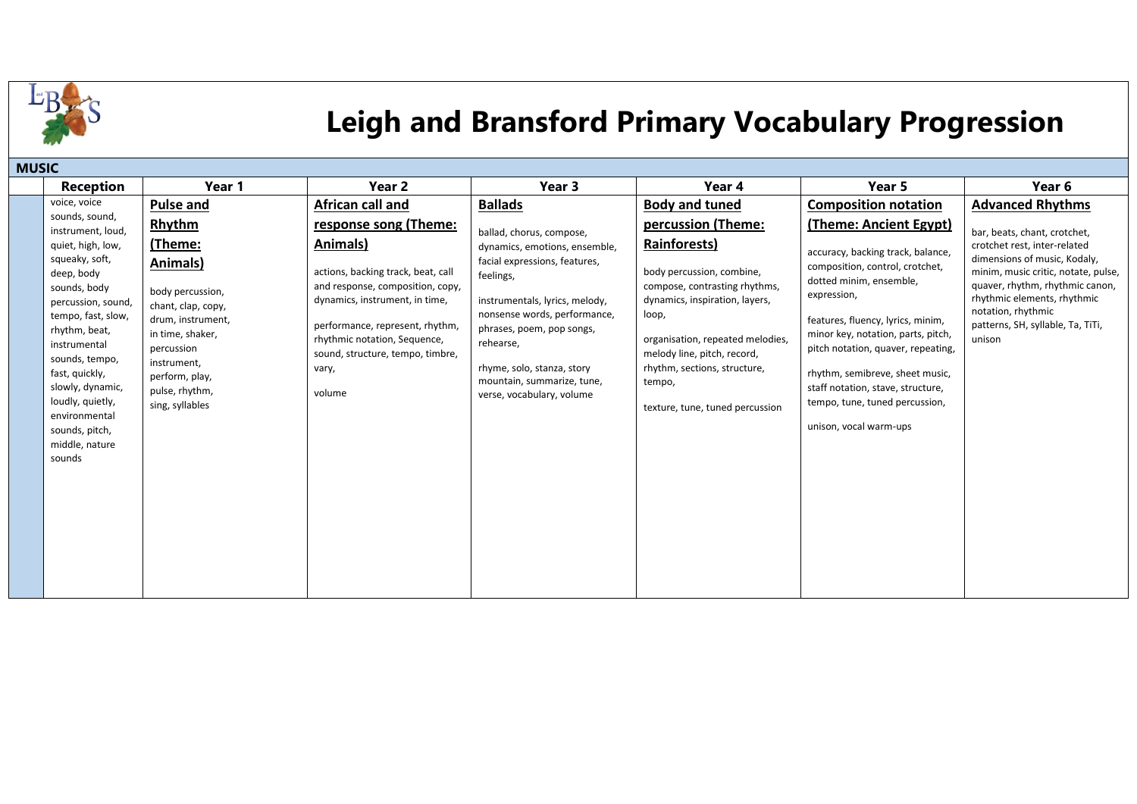

## **Leigh and Bransford Primary Vocabulary Progression**

| <b>MUSIC</b>                                                                                                                                                                                                                                                                                                                     |                                                                                                                                                                                                             |                                                                                                                                                                                                                                                                         |                                                                                                                                                                                                                                                                                                              |                                                                                                                                                                                                                                                                                             |                                                                                                                                                                                                                                                                                                                                                                                                      |                                                                                                                                                                                                                                                                            |  |  |
|----------------------------------------------------------------------------------------------------------------------------------------------------------------------------------------------------------------------------------------------------------------------------------------------------------------------------------|-------------------------------------------------------------------------------------------------------------------------------------------------------------------------------------------------------------|-------------------------------------------------------------------------------------------------------------------------------------------------------------------------------------------------------------------------------------------------------------------------|--------------------------------------------------------------------------------------------------------------------------------------------------------------------------------------------------------------------------------------------------------------------------------------------------------------|---------------------------------------------------------------------------------------------------------------------------------------------------------------------------------------------------------------------------------------------------------------------------------------------|------------------------------------------------------------------------------------------------------------------------------------------------------------------------------------------------------------------------------------------------------------------------------------------------------------------------------------------------------------------------------------------------------|----------------------------------------------------------------------------------------------------------------------------------------------------------------------------------------------------------------------------------------------------------------------------|--|--|
| <b>Reception</b>                                                                                                                                                                                                                                                                                                                 | Year 1                                                                                                                                                                                                      | Year 2                                                                                                                                                                                                                                                                  | Year 3                                                                                                                                                                                                                                                                                                       | Year 4                                                                                                                                                                                                                                                                                      | Year 5                                                                                                                                                                                                                                                                                                                                                                                               | Year 6                                                                                                                                                                                                                                                                     |  |  |
| voice, voice                                                                                                                                                                                                                                                                                                                     | <b>Pulse and</b>                                                                                                                                                                                            | African call and                                                                                                                                                                                                                                                        | <b>Ballads</b>                                                                                                                                                                                                                                                                                               | <b>Body and tuned</b>                                                                                                                                                                                                                                                                       | <b>Composition notation</b>                                                                                                                                                                                                                                                                                                                                                                          | <b>Advanced Rhythms</b>                                                                                                                                                                                                                                                    |  |  |
| sounds, sound,<br>instrument, loud,<br>quiet, high, low,<br>squeaky, soft,<br>deep, body<br>sounds, body<br>percussion, sound,<br>tempo, fast, slow,<br>rhythm, beat,<br>instrumental<br>sounds, tempo,<br>fast, quickly,<br>slowly, dynamic,<br>loudly, quietly,<br>environmental<br>sounds, pitch,<br>middle, nature<br>sounds | <b>Rhythm</b><br>(Theme:<br>Animals)<br>body percussion,<br>chant, clap, copy,<br>drum, instrument,<br>in time, shaker,<br>percussion<br>instrument,<br>perform, play,<br>pulse, rhythm,<br>sing, syllables | response song (Theme:<br>Animals)<br>actions, backing track, beat, call<br>and response, composition, copy,<br>dynamics, instrument, in time,<br>performance, represent, rhythm,<br>rhythmic notation, Sequence,<br>sound, structure, tempo, timbre,<br>vary,<br>volume | ballad, chorus, compose,<br>dynamics, emotions, ensemble,<br>facial expressions, features,<br>feelings,<br>instrumentals, lyrics, melody,<br>nonsense words, performance,<br>phrases, poem, pop songs,<br>rehearse,<br>rhyme, solo, stanza, story<br>mountain, summarize, tune,<br>verse, vocabulary, volume | percussion (Theme:<br>Rainforests)<br>body percussion, combine,<br>compose, contrasting rhythms,<br>dynamics, inspiration, layers,<br>loop,<br>organisation, repeated melodies,<br>melody line, pitch, record,<br>rhythm, sections, structure,<br>tempo,<br>texture, tune, tuned percussion | <b>(Theme: Ancient Egypt)</b><br>accuracy, backing track, balance,<br>composition, control, crotchet,<br>dotted minim, ensemble,<br>expression,<br>features, fluency, lyrics, minim,<br>minor key, notation, parts, pitch,<br>pitch notation, quaver, repeating,<br>rhythm, semibreve, sheet music,<br>staff notation, stave, structure,<br>tempo, tune, tuned percussion,<br>unison, vocal warm-ups | bar, beats, chant, crotchet,<br>crotchet rest, inter-related<br>dimensions of music, Kodaly,<br>minim, music critic, notate, pulse,<br>quaver, rhythm, rhythmic canon,<br>rhythmic elements, rhythmic<br>notation, rhythmic<br>patterns, SH, syllable, Ta, TiTi,<br>unison |  |  |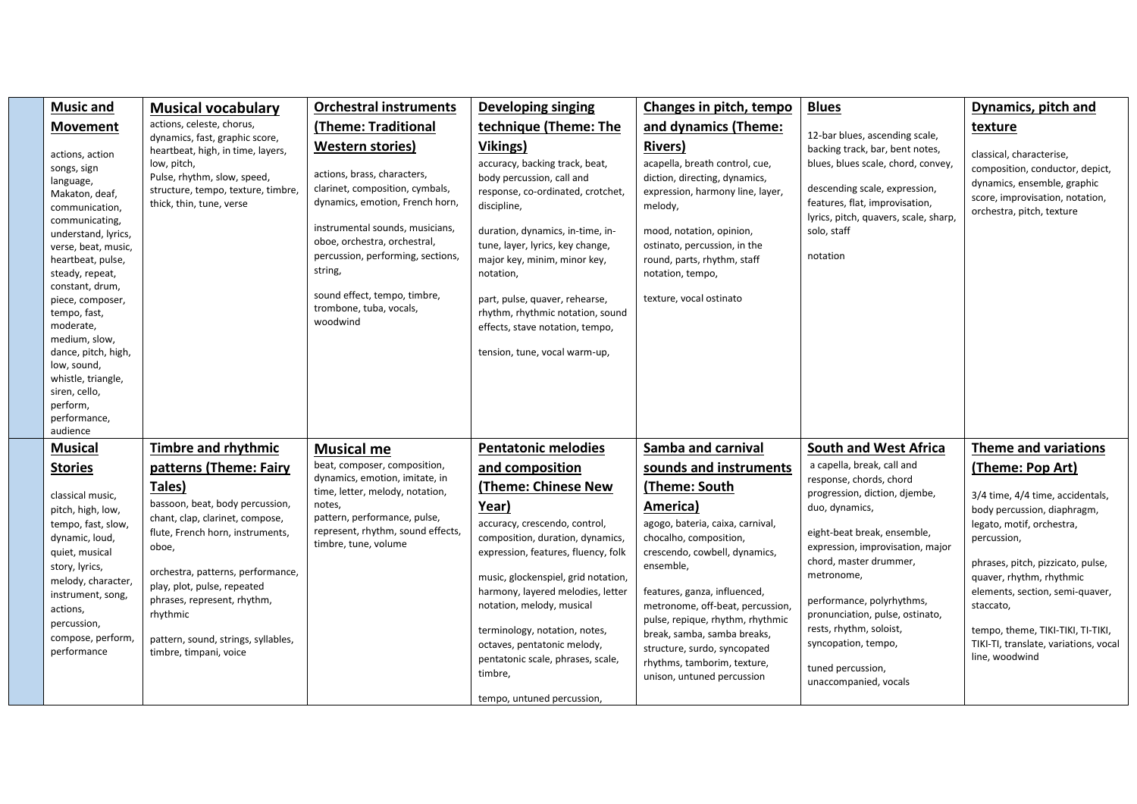| <b>Music and</b>                                                                                                                                                                                                                                                                                                                                                                                  | <b>Musical vocabulary</b>                                                                                                                                                                                                                                                                                 | <b>Orchestral instruments</b>                                                                                                                                                                                                                                                                                          | <b>Developing singing</b>                                                                                                                                                                                                                                                                                                                                                                       | Changes in pitch, tempo                                                                                                                                                                                                                                                                                                                                                   | <b>Blues</b>                                                                                                                                                                                                                                                                                                                                          | Dynamics, pitch and                                                                                                                                                                                                                                                                                                          |
|---------------------------------------------------------------------------------------------------------------------------------------------------------------------------------------------------------------------------------------------------------------------------------------------------------------------------------------------------------------------------------------------------|-----------------------------------------------------------------------------------------------------------------------------------------------------------------------------------------------------------------------------------------------------------------------------------------------------------|------------------------------------------------------------------------------------------------------------------------------------------------------------------------------------------------------------------------------------------------------------------------------------------------------------------------|-------------------------------------------------------------------------------------------------------------------------------------------------------------------------------------------------------------------------------------------------------------------------------------------------------------------------------------------------------------------------------------------------|---------------------------------------------------------------------------------------------------------------------------------------------------------------------------------------------------------------------------------------------------------------------------------------------------------------------------------------------------------------------------|-------------------------------------------------------------------------------------------------------------------------------------------------------------------------------------------------------------------------------------------------------------------------------------------------------------------------------------------------------|------------------------------------------------------------------------------------------------------------------------------------------------------------------------------------------------------------------------------------------------------------------------------------------------------------------------------|
| <b>Movement</b>                                                                                                                                                                                                                                                                                                                                                                                   | actions, celeste, chorus,                                                                                                                                                                                                                                                                                 | (Theme: Traditional                                                                                                                                                                                                                                                                                                    | technique (Theme: The                                                                                                                                                                                                                                                                                                                                                                           | and dynamics (Theme:                                                                                                                                                                                                                                                                                                                                                      |                                                                                                                                                                                                                                                                                                                                                       | texture                                                                                                                                                                                                                                                                                                                      |
| actions, action<br>songs, sign<br>language,<br>Makaton, deaf,<br>communication,<br>communicating,<br>understand, lyrics,<br>verse, beat, music,<br>heartbeat, pulse,<br>steady, repeat,<br>constant, drum,<br>piece, composer,<br>tempo, fast,<br>moderate,<br>medium, slow,<br>dance, pitch, high,<br>low, sound,<br>whistle, triangle,<br>siren, cello,<br>perform,<br>performance,<br>audience | dynamics, fast, graphic score,<br>heartbeat, high, in time, layers,<br>low, pitch,<br>Pulse, rhythm, slow, speed,<br>structure, tempo, texture, timbre,<br>thick, thin, tune, verse                                                                                                                       | <b>Western stories)</b><br>actions, brass, characters,<br>clarinet, composition, cymbals,<br>dynamics, emotion, French horn,<br>instrumental sounds, musicians,<br>oboe, orchestra, orchestral,<br>percussion, performing, sections,<br>string,<br>sound effect, tempo, timbre,<br>trombone, tuba, vocals,<br>woodwind | Vikings)<br>accuracy, backing track, beat,<br>body percussion, call and<br>response, co-ordinated, crotchet,<br>discipline,<br>duration, dynamics, in-time, in-<br>tune, layer, lyrics, key change,<br>major key, minim, minor key,<br>notation,<br>part, pulse, quaver, rehearse,<br>rhythm, rhythmic notation, sound<br>effects, stave notation, tempo,<br>tension, tune, vocal warm-up,      | <b>Rivers)</b><br>acapella, breath control, cue,<br>diction, directing, dynamics,<br>expression, harmony line, layer,<br>melody,<br>mood, notation, opinion,<br>ostinato, percussion, in the<br>round, parts, rhythm, staff<br>notation, tempo,<br>texture, vocal ostinato                                                                                                | 12-bar blues, ascending scale,<br>backing track, bar, bent notes,<br>blues, blues scale, chord, convey,<br>descending scale, expression,<br>features, flat, improvisation,<br>lyrics, pitch, quavers, scale, sharp,<br>solo, staff<br>notation                                                                                                        | classical, characterise,<br>composition, conductor, depict,<br>dynamics, ensemble, graphic<br>score, improvisation, notation,<br>orchestra, pitch, texture                                                                                                                                                                   |
| <b>Musical</b>                                                                                                                                                                                                                                                                                                                                                                                    | <b>Timbre and rhythmic</b>                                                                                                                                                                                                                                                                                | <b>Musical me</b>                                                                                                                                                                                                                                                                                                      | <b>Pentatonic melodies</b>                                                                                                                                                                                                                                                                                                                                                                      | Samba and carnival                                                                                                                                                                                                                                                                                                                                                        | <b>South and West Africa</b>                                                                                                                                                                                                                                                                                                                          | <b>Theme and variations</b>                                                                                                                                                                                                                                                                                                  |
| <b>Stories</b>                                                                                                                                                                                                                                                                                                                                                                                    | patterns (Theme: Fairy                                                                                                                                                                                                                                                                                    | beat, composer, composition,                                                                                                                                                                                                                                                                                           | and composition                                                                                                                                                                                                                                                                                                                                                                                 | sounds and instruments                                                                                                                                                                                                                                                                                                                                                    | a capella, break, call and                                                                                                                                                                                                                                                                                                                            | (Theme: Pop Art)                                                                                                                                                                                                                                                                                                             |
| classical music,<br>pitch, high, low,<br>tempo, fast, slow,<br>dynamic, loud,<br>quiet, musical<br>story, lyrics,<br>melody, character,<br>instrument, song,<br>actions,<br>percussion,<br>compose, perform,<br>performance                                                                                                                                                                       | Tales)<br>bassoon, beat, body percussion,<br>chant, clap, clarinet, compose,<br>flute, French horn, instruments,<br>oboe,<br>orchestra, patterns, performance,<br>play, plot, pulse, repeated<br>phrases, represent, rhythm,<br>rhythmic<br>pattern, sound, strings, syllables,<br>timbre, timpani, voice | dynamics, emotion, imitate, in<br>time, letter, melody, notation,<br>notes,<br>pattern, performance, pulse,<br>represent, rhythm, sound effects,<br>timbre, tune, volume                                                                                                                                               | (Theme: Chinese New<br>Year)<br>accuracy, crescendo, control,<br>composition, duration, dynamics,<br>expression, features, fluency, folk<br>music, glockenspiel, grid notation,<br>harmony, layered melodies, letter<br>notation, melody, musical<br>terminology, notation, notes,<br>octaves, pentatonic melody,<br>pentatonic scale, phrases, scale,<br>timbre,<br>tempo, untuned percussion, | (Theme: South<br>America)<br>agogo, bateria, caixa, carnival,<br>chocalho, composition,<br>crescendo, cowbell, dynamics,<br>ensemble,<br>features, ganza, influenced,<br>metronome, off-beat, percussion,<br>pulse, repique, rhythm, rhythmic<br>break, samba, samba breaks,<br>structure, surdo, syncopated<br>rhythms, tamborim, texture,<br>unison, untuned percussion | response, chords, chord<br>progression, diction, djembe,<br>duo, dynamics,<br>eight-beat break, ensemble,<br>expression, improvisation, major<br>chord, master drummer,<br>metronome,<br>performance, polyrhythms,<br>pronunciation, pulse, ostinato,<br>rests, rhythm, soloist,<br>syncopation, tempo,<br>tuned percussion,<br>unaccompanied, vocals | 3/4 time, 4/4 time, accidentals,<br>body percussion, diaphragm,<br>legato, motif, orchestra,<br>percussion,<br>phrases, pitch, pizzicato, pulse,<br>quaver, rhythm, rhythmic<br>elements, section, semi-quaver,<br>staccato,<br>tempo, theme, TIKI-TIKI, TI-TIKI,<br>TIKI-TI, translate, variations, vocal<br>line, woodwind |